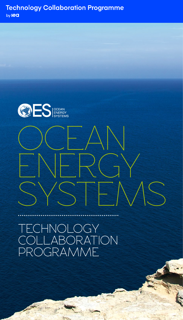

# OCEAN ENERGY SYSTEMS

TECHNOLOGY COLLABORATION PROGRAMME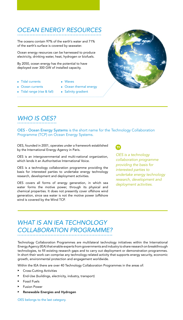## *OCEAN ENERGY RESOURCES*

The oceans contain 97% of the earth's water and 71% of the earth's surface is covered by seawater.

Ocean energy resources can be harnessed to produce electricity, drinking water, heat, hydrogen or biofuels.

By 2050, ocean energy has the potential to have deployed over 300 GW of installed capacity.

- $\blacktriangleright$  Tidal currents  $\triangleright$  Ocean currents
- $\blacktriangleright$  Waves
- $\triangleright$  Ocean thermal energy
- $\triangleright$  Tidal range (rise & fall)
- **B** Salinity gradient
	-



# *WHO IS OES?*

OES - Ocean Energy Systems is the short name for the Technology Collaboration Programme (TCP) on Ocean Energy Systems.

OES, founded in 2001, operates under a framework established by the International Energy Agency in Paris.

OES is an intergovernmental and multi-national organization, which lends it an Authoritative International Voice.

OES is a technology collaboration programme providing the basis for interested parties to undertake energy technology research, development and deployment activities.

OES covers all forms of energy generation, in which sea water forms the motive power, through its physical and chemical properties. It does not presently cover offshore wind generation, since sea water is not the motive power (offshore wind is covered by the Wind TCP.

99.

*OES is a technology collaboration programme providing the basis for interested parties to undertake energy technology research, development and deployment activities.*

## *WHAT IS AN IEA TECHNOLOGY COLLABORATION PROGRAMME?*

Technology Collaboration Programmes are multilateral technology initiatives within the International Energy Agency (IEA) that enable experts from governments and industry to share research on breakthrough technologies, to fill existing research gaps and to carry out deployment or demonstration programmes. In short their work can comprise any technology-related activity that supports energy security, economic growth, environmental protection and engagement worldwide.

Within the IEA there are over 40 Technology Collaboration Programmes in the areas of:

- **Cross-Cutting Activities**
- $\blacktriangleright$  End-Use (buildings, electricity, industry, transport)
- **Fossil Fuels**
- **Fusion Power**
- Renewable Energies and Hydrogen

OES belongs to the last category.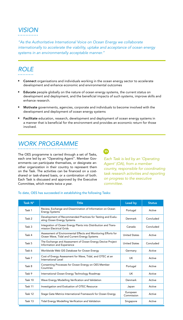# *VISION*

*"As the Authoritative International Voice on Ocean Energy we collaborate internationally to accelerate the viability, uptake and acceptance of ocean energy systems in an environmentally acceptable manner."*

## *ROLE*

- Connect organisations and individuals working in the ocean energy sector to accelerate development and enhance economic and environmental outcomes
- Educate people globally on the nature of ocean energy systems, the current status on development and deployment, and the beneficial impacts of such systems, improve skills and enhance research.
- Motivate governments, agencies, corporate and individuals to become involved with the development and deployment of ocean energy systems
- Facilitate education, research, development and deployment of ocean energy systems in a manner that is beneficial for the environment and provides an economic return for those involved.

## *WORK PROGRAMME*

The OES programme is carried through a set of Tasks, each one led by an "Operating Agent". Member Governments can participate themselves, or designate another organization in their country to represent them on the Task. The activities can be financed on a costshared or task-shared basis, or a combination of both. Each Task is discussed and approved by the Executive Committee, which meets twice a year.

### 9

*Each Task is led by an 'Operating Agent' (OA), from a member country, responsible for coordinating task research activities and reporting on progress to the executive committee.*

#### To date, OES has succeeded in establishing the following Tasks:

| Task N° | <b>Title</b>                                                                                                   | Lead by                | <b>Status</b> |
|---------|----------------------------------------------------------------------------------------------------------------|------------------------|---------------|
| Task 1  | Review, Exchange and Dissemination of Information on Ocean<br><b>Energy Systems</b>                            | Portugal               | Active        |
| Task 2  | Development of Recommended Practices for Testing and Evalu-<br>ating Ocean Energy Systems                      | Denmark                | Concluded     |
| Task 3  | Integration of Ocean Energy Plants into Distribution and Trans-<br>mission Electrical Grids                    | Canada                 | Concluded     |
| Task 4  | Assessment of Environmental Effects and Monitoring Efforts for<br>Ocean Wave, Tidal and Current Energy Systems | <b>United States</b>   | Active        |
| Task 5  | The Exchange and Assessment of Ocean Energy Device Project<br>Information and Experience                       | <b>United States</b>   | Concluded     |
| Task 6  | Worldwide Web GIS Database for Ocean Energy                                                                    | Germany                | Active        |
| Task 7  | Cost of Energy Assessment for Wave, Tidal, and OTEC at an<br>International Level                               | UK.                    | Active        |
| Task 8  | Consenting Processes for Ocean Energy on OES Member<br>Countries                                               | Portugal               | Active        |
| Task 9  | International Ocean Energy Technology Roadmap                                                                  | UK.                    | Active        |
| Task 10 | Wave Energy Modelling Verification and Validation                                                              | Denmark                | Active        |
| Task 11 | Investigation and Evaluation of OTEC Resource                                                                  | Japan                  | Active        |
| Task 12 | Stage Gate Metrics International Framework for Ocean Energy                                                    | European<br>Commission | Active        |
| Task 13 | Tidal Energy Modelling Verification and Validation                                                             | Singapore              | Active        |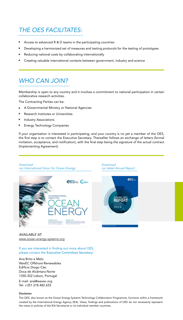## *THE OES FACILITATES:*

- Access to advanced R & D teams in the participating countries
- Developing a harmonized set of measures and testing protocols for the testing of prototypes
- Reducing national costs by collaborating internationally
- Creating valuable international contacts between government, industry and science

## *WHO CAN JOIN?*

Membership is open to any country and it involves a commitment to national participation in certain collaborative research activities.

The Contracting Parties can be:

- ▶ A Governmental Ministry or National Agencies
- $\blacktriangleright$  Research Institutes or Universities
- **Industry Associations**
- Energy Technology Companies

If your organisation is interested in participating, and your country is no yet a member of the OES, the first step is to contact the Executive Secretary. Thereafter follows an exchange of letters (formal invitation, acceptance, and notification), with the final step being the signature of the actual contract (Implementing Agreement).



*Download our latest Annual Report:*



#### *AVAILABLE AT:* [www.ocean-energy-systems.org](http://www.ocean-energy-systems.org)

If you are interested in finding out more about OES, please contact the Executive Committee Secretary:

#### Ana Brito e Melo WavEC Offshore Renewables Edifício Diogo Cão Doca de Alcântara Norte 1350-352 Lisbon, Portugal

E-mail: ana@wavec.org Tel: +351 218 482 655

#### Disclaimer

The OES, also known as the Ocean Energy Systems Technology Collaboration Programme, functions within a framework created by the International Energy Agency (IEA). Views, findings and publications of OES do not necessarily represent the views or policies of the IEA Secretariat or its individual member countries.